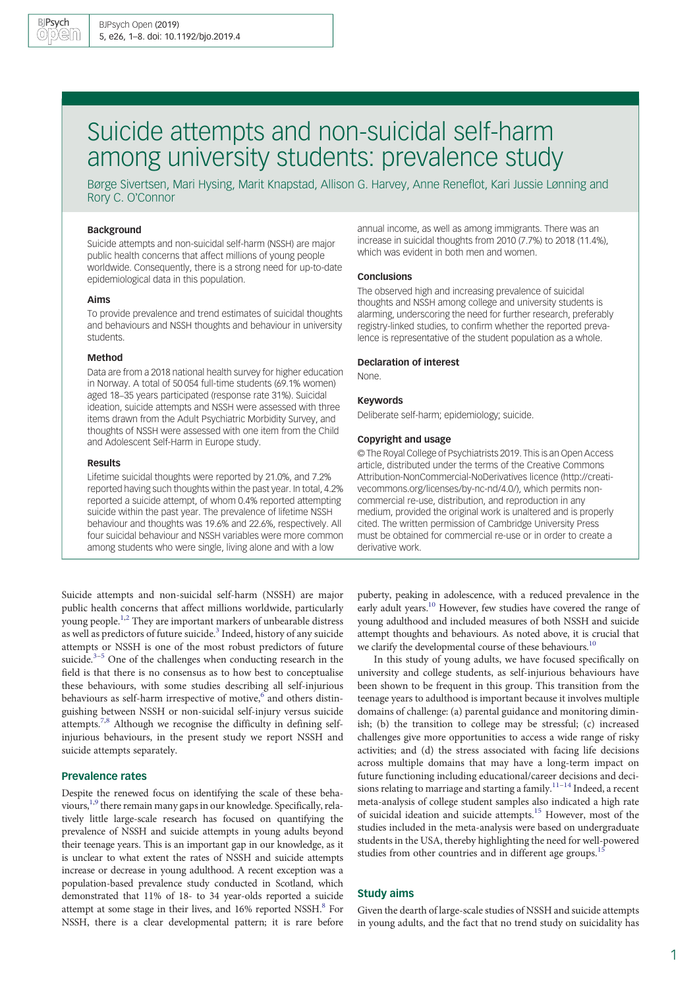# Suicide attempts and non-suicidal self-harm among university students: prevalence study

Børge Sivertsen, Mari Hysing, Marit Knapstad, Allison G. Harvey, Anne Reneflot, Kari Jussie Lønning and Rory C. O'Connor

#### Background

Suicide attempts and non-suicidal self-harm (NSSH) are major public health concerns that affect millions of young people worldwide. Consequently, there is a strong need for up-to-date epidemiological data in this population.

## Aims

To provide prevalence and trend estimates of suicidal thoughts and behaviours and NSSH thoughts and behaviour in university students.

#### Method

Data are from a 2018 national health survey for higher education in Norway. A total of 50 054 full-time students (69.1% women) aged 18–35 years participated (response rate 31%). Suicidal ideation, suicide attempts and NSSH were assessed with three items drawn from the Adult Psychiatric Morbidity Survey, and thoughts of NSSH were assessed with one item from the Child and Adolescent Self-Harm in Europe study.

#### Results

Lifetime suicidal thoughts were reported by 21.0%, and 7.2% reported having such thoughts within the past year. In total, 4.2% reported a suicide attempt, of whom 0.4% reported attempting suicide within the past year. The prevalence of lifetime NSSH behaviour and thoughts was 19.6% and 22.6%, respectively. All four suicidal behaviour and NSSH variables were more common among students who were single, living alone and with a low

Suicide attempts and non-suicidal self-harm (NSSH) are major public health concerns that affect millions worldwide, particularly young people.<sup>[1,2](#page-6-0)</sup> They are important markers of unbearable distress as well as predictors of future suicide.<sup>[3](#page-6-0)</sup> Indeed, history of any suicide attempts or NSSH is one of the most robust predictors of future suicide.<sup>[3](#page-6-0)-[5](#page-6-0)</sup> One of the challenges when conducting research in the field is that there is no consensus as to how best to conceptualise these behaviours, with some studies describing all self-injurious behaviours as self-harm irrespective of motive,<sup>[6](#page-7-0)</sup> and others distinguishing between NSSH or non-suicidal self-injury versus suicide attempts.[7,8](#page-7-0) Although we recognise the difficulty in defining selfinjurious behaviours, in the present study we report NSSH and suicide attempts separately.

## Prevalence rates

Despite the renewed focus on identifying the scale of these beha-viours,<sup>1,[9](#page-7-0)</sup> there remain many gaps in our knowledge. Specifically, relatively little large-scale research has focused on quantifying the prevalence of NSSH and suicide attempts in young adults beyond their teenage years. This is an important gap in our knowledge, as it is unclear to what extent the rates of NSSH and suicide attempts increase or decrease in young adulthood. A recent exception was a population-based prevalence study conducted in Scotland, which demonstrated that 11% of 18- to 34 year-olds reported a suicide attempt at some stage in their lives, and 16% reported NSSH.<sup>8</sup> For NSSH, there is a clear developmental pattern; it is rare before

annual income, as well as among immigrants. There was an increase in suicidal thoughts from 2010 (7.7%) to 2018 (11.4%), which was evident in both men and women.

#### Conclusions

The observed high and increasing prevalence of suicidal thoughts and NSSH among college and university students is alarming, underscoring the need for further research, preferably registry-linked studies, to confirm whether the reported prevalence is representative of the student population as a whole.

#### Declaration of interest

None.

#### Keywords

Deliberate self-harm; epidemiology; suicide.

#### Copyright and usage

© The Royal College of Psychiatrists 2019. This is an Open Access article, distributed under the terms of the Creative Commons Attribution-NonCommercial-NoDerivatives licence (http://creativecommons.org/licenses/by-nc-nd/4.0/), which permits noncommercial re-use, distribution, and reproduction in any medium, provided the original work is unaltered and is properly cited. The written permission of Cambridge University Press must be obtained for commercial re-use or in order to create a derivative work.

puberty, peaking in adolescence, with a reduced prevalence in the early adult years.<sup>[10](#page-7-0)</sup> However, few studies have covered the range of young adulthood and included measures of both NSSH and suicide attempt thoughts and behaviours. As noted above, it is crucial that we clarify the developmental course of these behaviours.<sup>[10](#page-7-0)</sup>

In this study of young adults, we have focused specifically on university and college students, as self-injurious behaviours have been shown to be frequent in this group. This transition from the teenage years to adulthood is important because it involves multiple domains of challenge: (a) parental guidance and monitoring diminish; (b) the transition to college may be stressful; (c) increased challenges give more opportunities to access a wide range of risky activities; and (d) the stress associated with facing life decisions across multiple domains that may have a long-term impact on future functioning including educational/career decisions and deci-sions relating to marriage and starting a family.<sup>[11](#page-7-0)-[14](#page-7-0)</sup> Indeed, a recent meta-analysis of college student samples also indicated a high rate of suicidal ideation and suicide attempts[.15](#page-7-0) However, most of the studies included in the meta-analysis were based on undergraduate students in the USA, thereby highlighting the need for well-powered studies from other countries and in different age groups.<sup>[15](#page-7-0)</sup>

# Study aims

Given the dearth of large-scale studies of NSSH and suicide attempts in young adults, and the fact that no trend study on suicidality has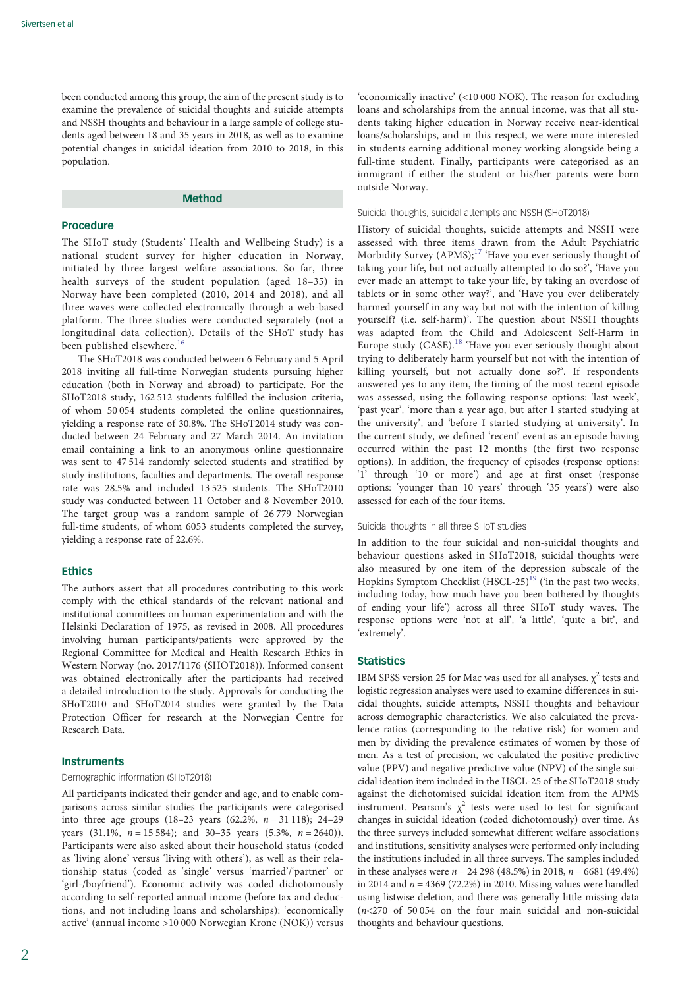been conducted among this group, the aim of the present study is to examine the prevalence of suicidal thoughts and suicide attempts and NSSH thoughts and behaviour in a large sample of college students aged between 18 and 35 years in 2018, as well as to examine potential changes in suicidal ideation from 2010 to 2018, in this population.

# Method

## Procedure

The SHoT study (Students' Health and Wellbeing Study) is a national student survey for higher education in Norway, initiated by three largest welfare associations. So far, three health surveys of the student population (aged 18–35) in Norway have been completed (2010, 2014 and 2018), and all three waves were collected electronically through a web-based platform. The three studies were conducted separately (not a longitudinal data collection). Details of the SHoT study has been published elsewhere.<sup>[16](#page-7-0)</sup>

The SHoT2018 was conducted between 6 February and 5 April 2018 inviting all full-time Norwegian students pursuing higher education (both in Norway and abroad) to participate. For the SHoT2018 study, 162 512 students fulfilled the inclusion criteria, of whom 50 054 students completed the online questionnaires, yielding a response rate of 30.8%. The SHoT2014 study was conducted between 24 February and 27 March 2014. An invitation email containing a link to an anonymous online questionnaire was sent to 47 514 randomly selected students and stratified by study institutions, faculties and departments. The overall response rate was 28.5% and included 13 525 students. The SHoT2010 study was conducted between 11 October and 8 November 2010. The target group was a random sample of 26 779 Norwegian full-time students, of whom 6053 students completed the survey, yielding a response rate of 22.6%.

## **Ethics**

The authors assert that all procedures contributing to this work comply with the ethical standards of the relevant national and institutional committees on human experimentation and with the Helsinki Declaration of 1975, as revised in 2008. All procedures involving human participants/patients were approved by the Regional Committee for Medical and Health Research Ethics in Western Norway (no. 2017/1176 (SHOT2018)). Informed consent was obtained electronically after the participants had received a detailed introduction to the study. Approvals for conducting the SHoT2010 and SHoT2014 studies were granted by the Data Protection Officer for research at the Norwegian Centre for Research Data.

## **Instruments**

### Demographic information (SHoT2018)

All participants indicated their gender and age, and to enable comparisons across similar studies the participants were categorised into three age groups  $(18-23 \text{ years } (62.2\%, n = 31118); 24-29)$ years  $(31.1\%, n = 15584)$ ; and  $30-35$  years  $(5.3\%, n = 2640)$ ). Participants were also asked about their household status (coded as 'living alone' versus 'living with others'), as well as their relationship status (coded as 'single' versus 'married'/'partner' or 'girl-/boyfriend'). Economic activity was coded dichotomously according to self-reported annual income (before tax and deductions, and not including loans and scholarships): 'economically active' (annual income >10 000 Norwegian Krone (NOK)) versus

'economically inactive' (<10 000 NOK). The reason for excluding loans and scholarships from the annual income, was that all students taking higher education in Norway receive near-identical loans/scholarships, and in this respect, we were more interested in students earning additional money working alongside being a full-time student. Finally, participants were categorised as an immigrant if either the student or his/her parents were born outside Norway.

#### Suicidal thoughts, suicidal attempts and NSSH (SHoT2018)

History of suicidal thoughts, suicide attempts and NSSH were assessed with three items drawn from the Adult Psychiatric Morbidity Survey  $(APMS)^{17}$  $(APMS)^{17}$  $(APMS)^{17}$  'Have you ever seriously thought of taking your life, but not actually attempted to do so?', 'Have you ever made an attempt to take your life, by taking an overdose of tablets or in some other way?', and 'Have you ever deliberately harmed yourself in any way but not with the intention of killing yourself? (i.e. self-harm)'. The question about NSSH thoughts was adapted from the Child and Adolescent Self-Harm in Europe study  $(CASE)$ .<sup>[18](#page-7-0)</sup> 'Have you ever seriously thought about trying to deliberately harm yourself but not with the intention of killing yourself, but not actually done so?'. If respondents answered yes to any item, the timing of the most recent episode was assessed, using the following response options: 'last week', 'past year', 'more than a year ago, but after I started studying at the university', and 'before I started studying at university'. In the current study, we defined 'recent' event as an episode having occurred within the past 12 months (the first two response options). In addition, the frequency of episodes (response options: '1' through '10 or more') and age at first onset (response options: 'younger than 10 years' through '35 years') were also assessed for each of the four items.

#### Suicidal thoughts in all three SHoT studies

In addition to the four suicidal and non-suicidal thoughts and behaviour questions asked in SHoT2018, suicidal thoughts were also measured by one item of the depression subscale of the Hopkins Symptom Checklist (HSCL-25)<sup>[19](#page-7-0)</sup> ('in the past two weeks, including today, how much have you been bothered by thoughts of ending your life') across all three SHoT study waves. The response options were 'not at all', 'a little', 'quite a bit', and 'extremely'.

## **Statistics**

IBM SPSS version 25 for Mac was used for all analyses.  $\chi^2$  tests and logistic regression analyses were used to examine differences in suicidal thoughts, suicide attempts, NSSH thoughts and behaviour across demographic characteristics. We also calculated the prevalence ratios (corresponding to the relative risk) for women and men by dividing the prevalence estimates of women by those of men. As a test of precision, we calculated the positive predictive value (PPV) and negative predictive value (NPV) of the single suicidal ideation item included in the HSCL-25 of the SHoT2018 study against the dichotomised suicidal ideation item from the APMS instrument. Pearson's  $\chi^2$  tests were used to test for significant changes in suicidal ideation (coded dichotomously) over time. As the three surveys included somewhat different welfare associations and institutions, sensitivity analyses were performed only including the institutions included in all three surveys. The samples included in these analyses were  $n = 24298 (48.5%)$  in 2018,  $n = 6681 (49.4%)$ in 2014 and  $n = 4369$  (72.2%) in 2010. Missing values were handled using listwise deletion, and there was generally little missing data ( $n<$  270 of 50 054 on the four main suicidal and non-suicidal thoughts and behaviour questions.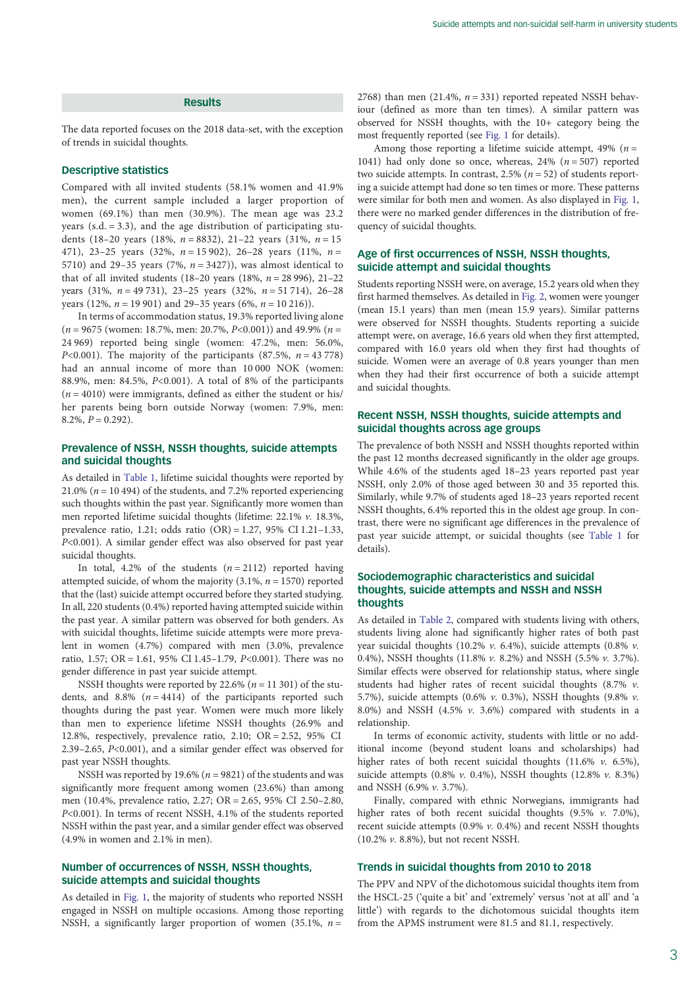#### Results

The data reported focuses on the 2018 data-set, with the exception of trends in suicidal thoughts.

## Descriptive statistics

Compared with all invited students (58.1% women and 41.9% men), the current sample included a larger proportion of women (69.1%) than men (30.9%). The mean age was 23.2 years (s.d. = 3.3), and the age distribution of participating students (18–20 years (18%,  $n = 8832$ ), 21–22 years (31%,  $n = 15$ 471), 23–25 years (32%,  $n = 15902$ ), 26–28 years (11%,  $n =$ 5710) and 29-35 years (7%,  $n = 3427$ )), was almost identical to that of all invited students (18–20 years (18%,  $n = 28996$ ), 21–22 years (31%,  $n = 49731$ ), 23-25 years (32%,  $n = 51714$ ), 26-28 years (12%,  $n = 19901$ ) and 29–35 years (6%,  $n = 10216$ )).

In terms of accommodation status, 19.3% reported living alone  $(n = 9675$  (women: 18.7%, men: 20.7%, P<0.001)) and 49.9% ( $n =$ 24 969) reported being single (women: 47.2%, men: 56.0%, P<0.001). The majority of the participants (87.5%,  $n = 43,778$ ) had an annual income of more than 10 000 NOK (women: 88.9%, men: 84.5%, P<0.001). A total of 8% of the participants  $(n = 4010)$  were immigrants, defined as either the student or his/ her parents being born outside Norway (women: 7.9%, men:  $8.2\%, P = 0.292$ .

## Prevalence of NSSH, NSSH thoughts, suicide attempts and suicidal thoughts

As detailed in [Table 1](#page-3-0), lifetime suicidal thoughts were reported by 21.0% ( $n = 10 494$ ) of the students, and 7.2% reported experiencing such thoughts within the past year. Significantly more women than men reported lifetime suicidal thoughts (lifetime: 22.1% v. 18.3%, prevalence ratio, 1.21; odds ratio (OR) = 1.27, 95% CI 1.21–1.33, P<0.001). A similar gender effect was also observed for past year suicidal thoughts.

In total, 4.2% of the students  $(n = 2112)$  reported having attempted suicide, of whom the majority  $(3.1\%, n = 1570)$  reported that the (last) suicide attempt occurred before they started studying. In all, 220 students (0.4%) reported having attempted suicide within the past year. A similar pattern was observed for both genders. As with suicidal thoughts, lifetime suicide attempts were more prevalent in women (4.7%) compared with men (3.0%, prevalence ratio, 1.57; OR = 1.61, 95% CI 1.45–1.79, P<0.001). There was no gender difference in past year suicide attempt.

NSSH thoughts were reported by 22.6% ( $n = 11301$ ) of the students, and 8.8% ( $n = 4414$ ) of the participants reported such thoughts during the past year. Women were much more likely than men to experience lifetime NSSH thoughts (26.9% and 12.8%, respectively, prevalence ratio, 2.10; OR = 2.52, 95% CI 2.39–2.65, P<0.001), and a similar gender effect was observed for past year NSSH thoughts.

NSSH was reported by 19.6% ( $n = 9821$ ) of the students and was significantly more frequent among women (23.6%) than among men (10.4%, prevalence ratio, 2.27; OR = 2.65, 95% CI 2.50–2.80, P<0.001). In terms of recent NSSH, 4.1% of the students reported NSSH within the past year, and a similar gender effect was observed (4.9% in women and 2.1% in men).

# Number of occurrences of NSSH, NSSH thoughts, suicide attempts and suicidal thoughts

As detailed in [Fig. 1](#page-4-0), the majority of students who reported NSSH engaged in NSSH on multiple occasions. Among those reporting NSSH, a significantly larger proportion of women (35.1%,  $n =$ 

2768) than men (21.4%,  $n = 331$ ) reported repeated NSSH behaviour (defined as more than ten times). A similar pattern was observed for NSSH thoughts, with the 10+ category being the most frequently reported (see [Fig. 1](#page-4-0) for details).

Among those reporting a lifetime suicide attempt,  $49\%$  ( $n =$ 1041) had only done so once, whereas,  $24\%$  ( $n = 507$ ) reported two suicide attempts. In contrast, 2.5% ( $n = 52$ ) of students reporting a suicide attempt had done so ten times or more. These patterns were similar for both men and women. As also displayed in [Fig. 1,](#page-4-0) there were no marked gender differences in the distribution of frequency of suicidal thoughts.

# Age of first occurrences of NSSH, NSSH thoughts, suicide attempt and suicidal thoughts

Students reporting NSSH were, on average, 15.2 years old when they first harmed themselves. As detailed in [Fig. 2,](#page-4-0) women were younger (mean 15.1 years) than men (mean 15.9 years). Similar patterns were observed for NSSH thoughts. Students reporting a suicide attempt were, on average, 16.6 years old when they first attempted, compared with 16.0 years old when they first had thoughts of suicide. Women were an average of 0.8 years younger than men when they had their first occurrence of both a suicide attempt and suicidal thoughts.

# Recent NSSH, NSSH thoughts, suicide attempts and suicidal thoughts across age groups

The prevalence of both NSSH and NSSH thoughts reported within the past 12 months decreased significantly in the older age groups. While 4.6% of the students aged 18–23 years reported past year NSSH, only 2.0% of those aged between 30 and 35 reported this. Similarly, while 9.7% of students aged 18–23 years reported recent NSSH thoughts, 6.4% reported this in the oldest age group. In contrast, there were no significant age differences in the prevalence of past year suicide attempt, or suicidal thoughts (see [Table 1](#page-3-0) for details).

# Sociodemographic characteristics and suicidal thoughts, suicide attempts and NSSH and NSSH thoughts

As detailed in [Table 2](#page-5-0), compared with students living with others, students living alone had significantly higher rates of both past year suicidal thoughts (10.2%  $v$ . 6.4%), suicide attempts (0.8%  $v$ . 0.4%), NSSH thoughts (11.8% v. 8.2%) and NSSH (5.5% v. 3.7%). Similar effects were observed for relationship status, where single students had higher rates of recent suicidal thoughts (8.7% v. 5.7%), suicide attempts (0.6% v. 0.3%), NSSH thoughts (9.8% v. 8.0%) and NSSH  $(4.5\% \text{ } v. 3.6\%)$  compared with students in a relationship.

In terms of economic activity, students with little or no additional income (beyond student loans and scholarships) had higher rates of both recent suicidal thoughts (11.6% v. 6.5%), suicide attempts (0.8%  $v$ . 0.4%), NSSH thoughts (12.8%  $v$ . 8.3%) and NSSH (6.9% v. 3.7%).

Finally, compared with ethnic Norwegians, immigrants had higher rates of both recent suicidal thoughts  $(9.5\% \text{ } v. 7.0\%),$ recent suicide attempts (0.9% v. 0.4%) and recent NSSH thoughts (10.2% v. 8.8%), but not recent NSSH.

## Trends in suicidal thoughts from 2010 to 2018

The PPV and NPV of the dichotomous suicidal thoughts item from the HSCL-25 ('quite a bit' and 'extremely' versus 'not at all' and 'a little') with regards to the dichotomous suicidal thoughts item from the APMS instrument were 81.5 and 81.1, respectively.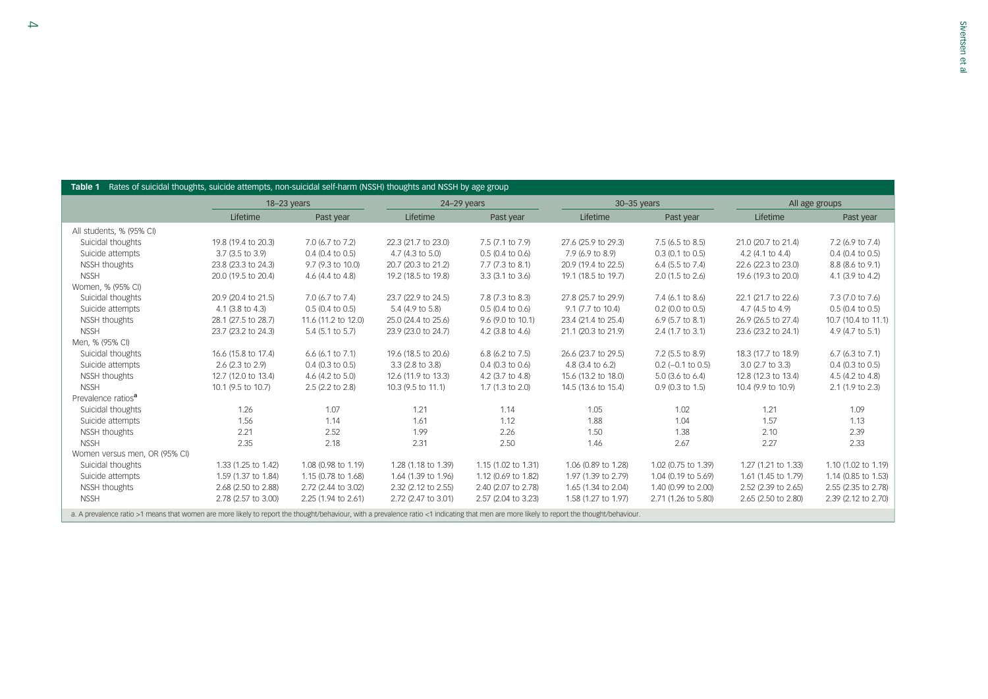<span id="page-3-0"></span>

|                                                                                                                                                                                            |                     | 18-23 years                |                       | 24-29 years                | 30-35 years         |                     |                       | All age groups      |
|--------------------------------------------------------------------------------------------------------------------------------------------------------------------------------------------|---------------------|----------------------------|-----------------------|----------------------------|---------------------|---------------------|-----------------------|---------------------|
|                                                                                                                                                                                            | Lifetime            | Past year                  | Lifetime              | Past year                  | Lifetime            | Past year           | Lifetime              | Past year           |
| All students, % (95% CI)                                                                                                                                                                   |                     |                            |                       |                            |                     |                     |                       |                     |
| Suicidal thoughts                                                                                                                                                                          | 19.8 (19.4 to 20.3) | 7.0 (6.7 to 7.2)           | 22.3 (21.7 to 23.0)   | 7.5 (7.1 to 7.9)           | 27.6 (25.9 to 29.3) | 7.5 (6.5 to 8.5)    | 21.0 (20.7 to 21.4)   | 7.2 (6.9 to 7.4)    |
| Suicide attempts                                                                                                                                                                           | $3.7$ (3.5 to 3.9)  | $0.4$ (0.4 to 0.5)         | 4.7 (4.3 to 5.0)      | $0.5$ (0.4 to 0.6)         | 7.9 (6.9 to 8.9)    | $0.3$ (0.1 to 0.5)  | $4.2$ (4.1 to 4.4)    | $0.4$ (0.4 to 0.5)  |
| NSSH thoughts                                                                                                                                                                              | 23.8 (23.3 to 24.3) | 9.7 (9.3 to 10.0)          | 20.7 (20.3 to 21.2)   | 7.7 (7.3 to 8.1)           | 20.9 (19.4 to 22.5) | $6.4$ (5.5 to 7.4)  | 22.6 (22.3 to 23.0)   | 8.8 (8.6 to 9.1)    |
| <b>NSSH</b>                                                                                                                                                                                | 20.0 (19.5 to 20.4) | 4.6 (4.4 to 4.8)           | 19.2 (18.5 to 19.8)   | $3.3$ (3.1 to 3.6)         | 19.1 (18.5 to 19.7) | $2.0$ (1.5 to 2.6)  | 19.6 (19.3 to 20.0)   | 4.1 (3.9 to 4.2)    |
| Women, % (95% CI)                                                                                                                                                                          |                     |                            |                       |                            |                     |                     |                       |                     |
| Suicidal thoughts                                                                                                                                                                          | 20.9 (20.4 to 21.5) | 7.0 (6.7 to 7.4)           | 23.7 (22.9 to 24.5)   | 7.8 (7.3 to 8.3)           | 27.8 (25.7 to 29.9) | 7.4 (6.1 to 8.6)    | 22.1 (21.7 to 22.6)   | 7.3 (7.0 to 7.6)    |
| Suicide attempts                                                                                                                                                                           | 4.1 (3.8 to 4.3)    | $0.5(0.4 \text{ to } 0.5)$ | 5.4 (4.9 to 5.8)      | $0.5(0.4 \text{ to } 0.6)$ | 9.1 (7.7 to 10.4)   | $0.2$ (0.0 to 0.5)  | 4.7 (4.5 to 4.9)      | $0.5$ (0.4 to 0.5)  |
| NSSH thoughts                                                                                                                                                                              | 28.1 (27.5 to 28.7) | 11.6 (11.2 to 12.0)        | 25.0 (24.4 to 25.6)   | 9.6 (9.0 to 10.1)          | 23.4 (21.4 to 25.4) | $6.9$ (5.7 to 8.1)  | 26.9 (26.5 to 27.4)   | 10.7 (10.4 to 11.1) |
| <b>NSSH</b>                                                                                                                                                                                | 23.7 (23.2 to 24.3) | 5.4 (5.1 to 5.7)           | 23.9 (23.0 to 24.7)   | $4.2$ (3.8 to 4.6)         | 21.1 (20.3 to 21.9) | $2.4$ (1.7 to 3.1)  | 23.6 (23.2 to 24.1)   | 4.9 (4.7 to 5.1)    |
| Men, % (95% CI)                                                                                                                                                                            |                     |                            |                       |                            |                     |                     |                       |                     |
| Suicidal thoughts                                                                                                                                                                          | 16.6 (15.8 to 17.4) | $6.6$ (6.1 to 7.1)         | 19.6 (18.5 to 20.6)   | 6.8 (6.2 to $7.5$ )        | 26.6 (23.7 to 29.5) | 7.2 (5.5 to 8.9)    | 18.3 (17.7 to 18.9)   | $6.7$ (6.3 to 7.1)  |
| Suicide attempts                                                                                                                                                                           | 2.6 (2.3 to 2.9)    | $0.4$ (0.3 to 0.5)         | $3.3$ (2.8 to $3.8$ ) | $0.4$ (0.3 to 0.6)         | 4.8 (3.4 to 6.2)    | $0.2$ (-0.1 to 0.5) | $3.0$ (2.7 to $3.3$ ) | $0.4$ (0.3 to 0.5)  |
| NSSH thoughts                                                                                                                                                                              | 12.7 (12.0 to 13.4) | 4.6 (4.2 to 5.0)           | 12.6 (11.9 to 13.3)   | 4.2 (3.7 to 4.8)           | 15.6 (13.2 to 18.0) | 5.0 (3.6 to 6.4)    | 12.8 (12.3 to 13.4)   | 4.5 (4.2 to 4.8)    |
| <b>NSSH</b>                                                                                                                                                                                | 10.1 (9.5 to 10.7)  | 2.5 (2.2 to 2.8)           | 10.3 (9.5 to 11.1)    | $1.7(1.3 \text{ to } 2.0)$ | 14.5 (13.6 to 15.4) | $0.9$ (0.3 to 1.5)  | 10.4 (9.9 to 10.9)    | 2.1 (1.9 to 2.3)    |
| Prevalence ratios <sup>a</sup>                                                                                                                                                             |                     |                            |                       |                            |                     |                     |                       |                     |
| Suicidal thoughts                                                                                                                                                                          | 1.26                | 1.07                       | 1.21                  | 1.14                       | 1.05                | 1.02                | 1.21                  | 1.09                |
| Suicide attempts                                                                                                                                                                           | 1.56                | 1.14                       | 1.61                  | 1.12                       | 1.88                | 1.04                | 1.57                  | 1.13                |
| NSSH thoughts                                                                                                                                                                              | 2.21                | 2.52                       | 1.99                  | 2.26                       | 1.50                | 1.38                | 2.10                  | 2.39                |
| <b>NSSH</b>                                                                                                                                                                                | 2.35                | 2.18                       | 2.31                  | 2.50                       | 1.46                | 2.67                | 2.27                  | 2.33                |
| Women versus men, OR (95% CI)                                                                                                                                                              |                     |                            |                       |                            |                     |                     |                       |                     |
| Suicidal thoughts                                                                                                                                                                          | 1.33 (1.25 to 1.42) | 1.08 (0.98 to 1.19)        | 1.28 (1.18 to 1.39)   | 1.15 (1.02 to 1.31)        | 1.06 (0.89 to 1.28) | 1.02 (0.75 to 1.39) | 1.27 (1.21 to 1.33)   | 1.10 (1.02 to 1.19) |
| Suicide attempts                                                                                                                                                                           | 1.59 (1.37 to 1.84) | 1.15 (0.78 to 1.68)        | 1.64 (1.39 to 1.96)   | 1.12 (0.69 to 1.82)        | 1.97 (1.39 to 2.79) | 1.04 (0.19 to 5.69) | 1.61 (1.45 to 1.79)   | 1.14 (0.85 to 1.53) |
| NSSH thoughts                                                                                                                                                                              | 2.68 (2.50 to 2.88) | 2.72 (2.44 to 3.02)        | 2.32 (2.12 to 2.55)   | 2.40 (2.07 to 2.78)        | 1.65 (1.34 to 2.04) | 1.40 (0.99 to 2.00) | 2.52 (2.39 to 2.65)   | 2.55 (2.35 to 2.78) |
| <b>NSSH</b>                                                                                                                                                                                | 2.78 (2.57 to 3.00) | 2.25 (1.94 to 2.61)        | 2.72 (2.47 to 3.01)   | 2.57 (2.04 to 3.23)        | 1.58 (1.27 to 1.97) | 2.71 (1.26 to 5.80) | 2.65 (2.50 to 2.80)   | 2.39 (2.12 to 2.70) |
| a. A prevalence ratio >1 means that women are more likely to report the thought/behaviour, with a prevalence ratio <1 indicating that men are more likely to report the thought/behaviour. |                     |                            |                       |                            |                     |                     |                       |                     |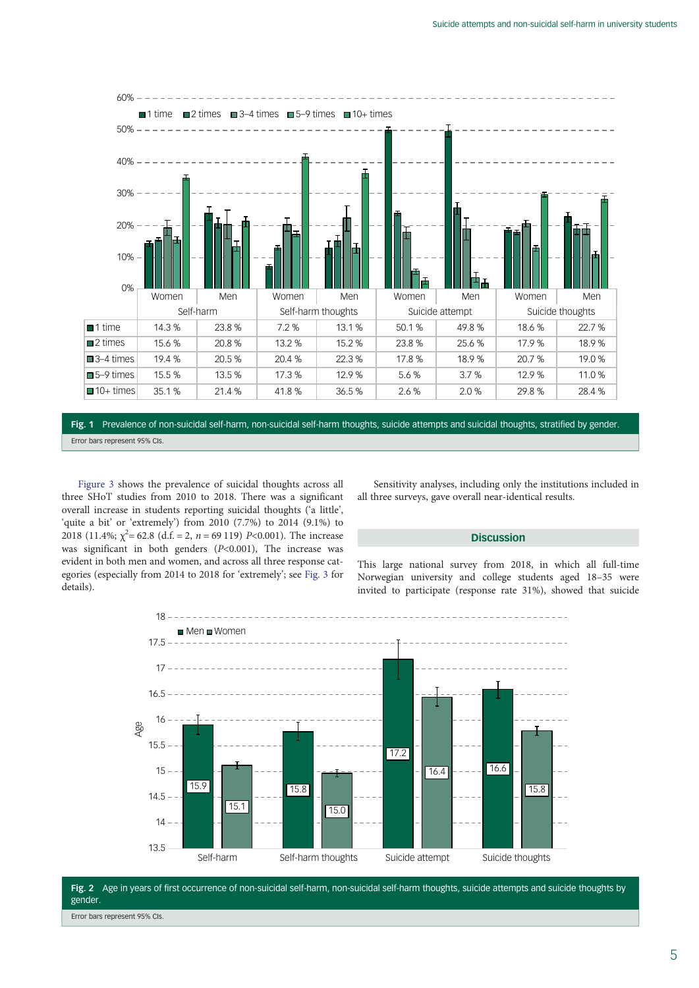<span id="page-4-0"></span>

Fig. 1 Prevalence of non-suicidal self-harm, non-suicidal self-harm thoughts, suicide attempts and suicidal thoughts, stratified by gender Error bars represent 95% CIs.

[Figure 3](#page-6-0) shows the prevalence of suicidal thoughts across all three SHoT studies from 2010 to 2018. There was a significant overall increase in students reporting suicidal thoughts ('a little', 'quite a bit' or 'extremely') from 2010 (7.7%) to 2014 (9.1%) to 2018 (11.4%;  $\chi^2$  = 62.8 (d.f. = 2, n = 69 119) P<0.001). The increase was significant in both genders  $(P<0.001)$ , The increase was evident in both men and women, and across all three response categories (especially from 2014 to 2018 for 'extremely'; see [Fig. 3](#page-6-0) for details).

Sensitivity analyses, including only the institutions included in all three surveys, gave overall near-identical results.

# **Discussion**

This large national survey from 2018, in which all full-time Norwegian university and college students aged 18–35 were invited to participate (response rate 31%), showed that suicide



Fig. 2 Age in years of first occurrence of non-suicidal self-harm, non-suicidal self-harm thoughts, suicide attempts and suicide thoughts by gender.

Error bars represent 95% CIs.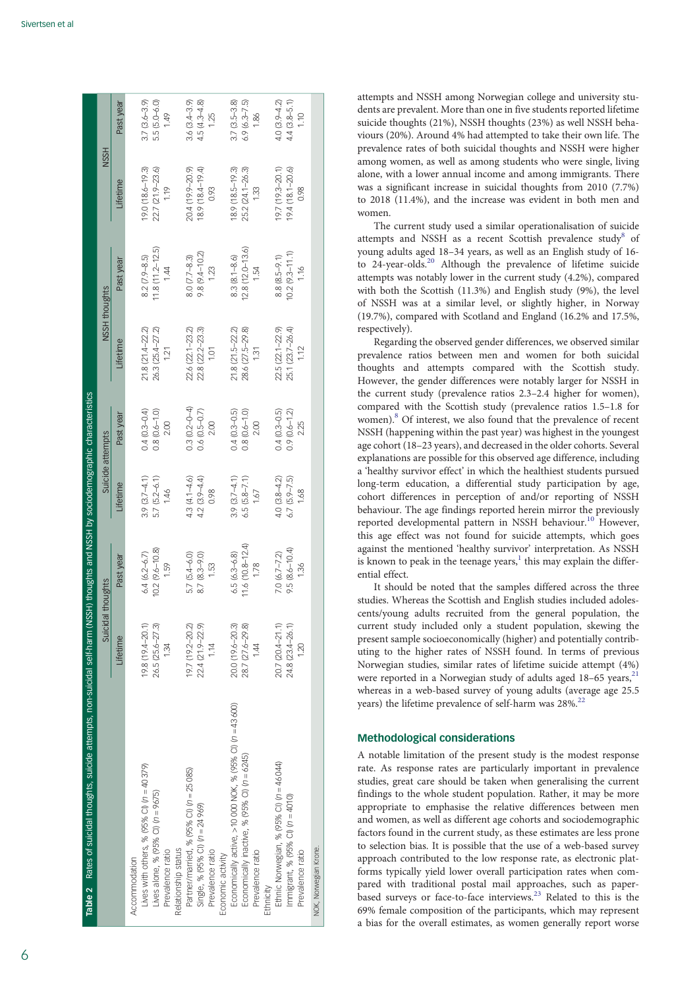<span id="page-5-0"></span>

| Sivertsen et al |  |
|-----------------|--|
|                 |  |

| Table 2 Rates of suicidal thoughts, suicide attempts, non-suicidal self-harm (NSSH) thoughts and NSSH by sociodemographic characteristics |                   |                     |                   |                    |                      |                     |                  |                  |
|-------------------------------------------------------------------------------------------------------------------------------------------|-------------------|---------------------|-------------------|--------------------|----------------------|---------------------|------------------|------------------|
|                                                                                                                                           | Suicidal thoughts |                     |                   | Suicide attempts   | <b>NSSH thoughts</b> |                     | <b>NSSH</b>      |                  |
|                                                                                                                                           | Lifetime          | Past year           | Lifetime          | Past year          | Lifetime             | Past year           | Lifetime         | Past year        |
| Accommodation                                                                                                                             |                   |                     |                   |                    |                      |                     |                  |                  |
| Lives with others, % (95% CI) ( $n = 40379$ )                                                                                             | 19.8 (19.4-20.1)  | $6.4(6.2 - 6.7)$    | $3.9(3.7 - 4.1)$  | $0.4(0.3 - 0.4)$   | 21.8 (21.4-22.2)     | 8.2 (7.9-8.5)       | 19.0 (18.6-19.3) | $3.7(3.6 - 3.9)$ |
| Lives alone, % (95% CI) ( $n = 9675$ )                                                                                                    | 26.5 (25.6-27.3)  | $10.2(9.6 - 10.8)$  | $5.7(5.2-6.1)$    | $0.8(0.6 - 1.0)$   | 26.3 (25.4-27.2)     | $11.8(11.2 - 12.5)$ | 22.7 (21.9-23.6) | 5.5 (5.0-6.0)    |
| Prevalence ratio                                                                                                                          | 1.34              | 1.59                | 1.46              |                    | 1.21                 | 1.44                | 1.19             | 1.49             |
| Relationship status                                                                                                                       |                   |                     |                   |                    |                      |                     |                  |                  |
| Partner/married, % (95% CI) (n = 25 085)                                                                                                  | 19.7 (19.2-20.2)  | $5.7(5.4 - 6.0)$    | $4.3(4.1 - 4.6)$  | $0.3(0.2 - 0 - 4)$ | 22.6 (22.1-23.2)     | $8.0 (7.7 - 8.3)$   | 20.4 (19.9-20.9) | $3.6(3.4 - 3.9)$ |
| Single, % (95% CI) (n = 24 969)                                                                                                           | 22.4 (21.9-22.9)  | $8.7(8.3 - 9.0)$    | $4.2$ (3.9-4.4)   | $0.6 (0.5 - 0.7)$  | 22.8 (22.2-23.3)     | 9.8 (9.4-10.2)      | 18.9 (18.4-19.4) | $4.5(4.3 - 4.8)$ |
| Prevalence ratio                                                                                                                          | 1.14              | 1.53                | 0.98              | 2.00               | 101                  | 1.23                | 0.93             | 1.25             |
| Economic activity                                                                                                                         |                   |                     |                   |                    |                      |                     |                  |                  |
| Economically active, >10 000 NOK, % (95% Cl) $(n = 43600)$                                                                                | 20.0 (19.6-20.3)  | $6.5(6.3 - 6.8)$    | $3.9(3.7 - 4.1)$  | $0.4(0.3 - 0.5)$   | 21.8 (21.5-22.2)     | $8.3 (8.1 - 8.6)$   | 18.9 (18.5-19.3) | $3.7(3.5 - 3.8)$ |
| Economically inactive, % (95% CI) (n = 6245)                                                                                              | 28.7 (27.6-29.8)  | $11.6(10.8 - 12.4)$ | $6.5(5.8 - 7.1)$  | $0.8(0.6 - 1.0)$   | 28.6 (27.5-29.8)     | $12.8(12.0 - 13.6)$ | 25.2 (24.1-26.3) | $6.9(6.3 - 7.5)$ |
| Prevalence ratio                                                                                                                          | 1.44              | 1.78                | 1.67              | 2.00               | 1.31                 | 1.54                | 1.33             | 1.86             |
| Ethnicity                                                                                                                                 |                   |                     |                   |                    |                      |                     |                  |                  |
| Ethnic Norwegian, % (95% CI) (n = 46 044)                                                                                                 | 20.7 (20.4-21.1)  | $7.0(6.7 - 7.2)$    | $4.0(3.8 - 4.2)$  | $0.4(0.3 - 0.5)$   | 22.5 (22.1-22.9)     | 8.8 (8.5-9.1)       | 19.7 (19.3-20.1) | $4.0(3.9 - 4.2)$ |
| Immigrant, % (95% CI) (n = 4010)                                                                                                          | 24.8 (23.4-26.1)  | $9.5(8.6 - 10.4)$   | $6.7 (5.9 - 7.5)$ | $0.9(0.6 - 1.2)$   | 25.1 (23.7-26.4)     | $10.2 (9.3 - 11.1)$ | 19.4 (18.1-20.6) | $4.4(3.8 - 5.1)$ |
| Prevalence ratio                                                                                                                          | 1.20              | 1.36                | 1.68              | 2.25               | 1.12                 | 1.16                | 0.98             | 1.10             |
| NOK, Norwegian Krone.                                                                                                                     |                   |                     |                   |                    |                      |                     |                  |                  |

attempts and NSSH among Norwegian college and university students are prevalent. More than one in five students reported lifetime suicide thoughts (21%), NSSH thoughts (23%) as well NSSH behaviours (20%). Around 4% had attempted to take their own life. The prevalence rates of both suicidal thoughts and NSSH were higher among women, as well as among students who were single, living alone, with a lower annual income and among immigrants. There was a significant increase in suicidal thoughts from 2010 (7.7%) to 2018 (11.4%), and the increase was evident in both men and women.

The current study used a similar operationalisation of suicide attempts and NSSH as a recent Scottish prevalence study<sup>[8](#page-7-0)</sup> of young adults aged 18 –34 years, as well as an English study of 16- to 24-year-olds.<sup>[20](#page-7-0)</sup> Although the prevalence of lifetime suicide attempts was notably lower in the current study (4.2%), compared with both the Scottish (11.3%) and English study (9%), the level of NSSH was at a similar level, or slightly higher, in Norway (19.7%), compared with Scotland and England (16.2% and 17.5%, respectively).

Regarding the observed gender differences, we observed similar prevalence ratios between men and women for both suicidal thoughts and attempts compared with the Scottish study. However, the gender differences were notably larger for NSSH in the current study (prevalence ratios 2.3 –2.4 higher for women), compared with the Scottish study (prevalence ratios 1.5 –1.8 for women). [8](#page-7-0) Of interest, we also found that the prevalence of recent NSSH (happening within the past year) was highest in the youngest age cohort (18 –23 years), and decreased in the older cohorts. Several explanations are possible for this observed age difference, including a 'healthy survivor effect' in which the healthiest students pursued long-term education, a differential study participation by age, cohort differences in perception of and/or reporting of NSSH behaviour. The age findings reported herein mirror the previously reported developmental pattern in NSSH behaviour.<sup>[10](#page-7-0)</sup> However, this age effect was not found for suicide attempts, which goes against the mentioned 'healthy survivor ' interpretation. As NSSH is known to peak in the teenage years,<sup>[1](#page-6-0)</sup> this may explain the differential effect.

It should be noted that the samples differed across the three studies. Whereas the Scottish and English studies included adolescents/young adults recruited from the general population, the current study included only a student population, skewing the present sample socioeconomically (higher) and potentially contributing to the higher rates of NSSH found. In terms of previous Norwegian studies, similar rates of lifetime suicide attempt (4%) were reported in a Norwegian study of adults aged 18-65 years,<sup>[21](#page-7-0)</sup> whereas in a web-based survey of young adults (average age 25.5 years) the lifetime prevalence of self-harm was 28%.<sup>[22](#page-7-0)</sup>

# Methodological considerations

A notable limitation of the present study is the modest response rate. As response rates are particularly important in prevalence studies, great care should be taken when generalising the current findings to the whole student population. Rather, it may be more appropriate to emphasise the relative differences between men and women, as well as different age cohorts and sociodemographic factors found in the current study, as these estimates are less prone to selection bias. It is possible that the use of a web-based survey approach contributed to the low response rate, as electronic platforms typically yield lower overall participation rates when compared with traditional postal mail approaches, such as paperbased surveys or face-to-face interviews.[23](#page-7-0) Related to this is the 69% female composition of the participants, which may represent a bias for the overall estimates, as women generally report worse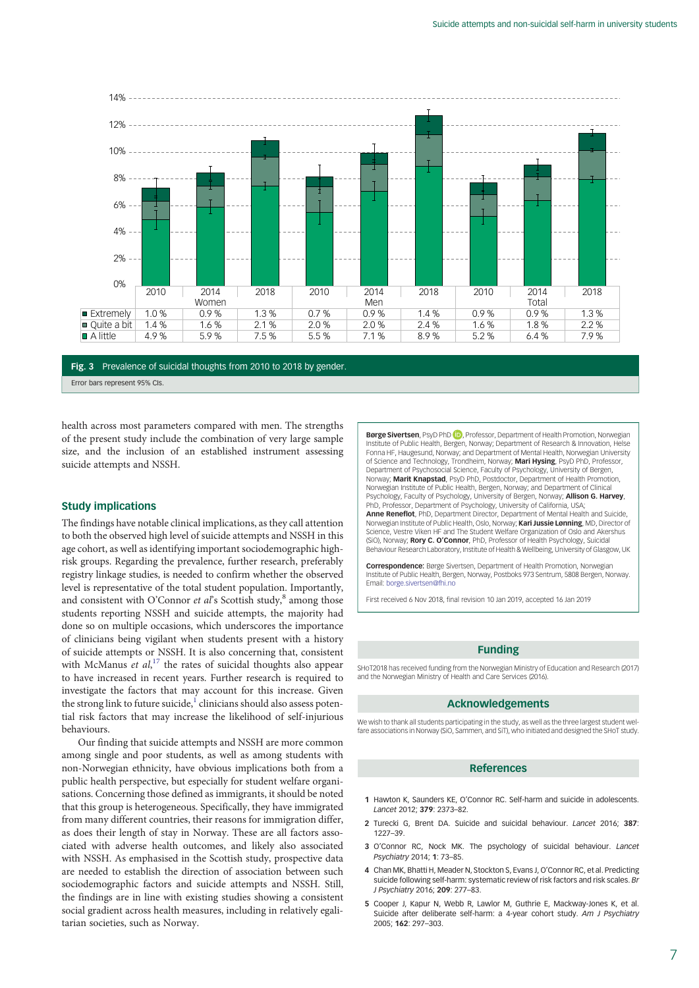<span id="page-6-0"></span>

Fig. 3 Prevalence of suicidal thoughts from 2010 to 2018 by gender.

Error bars represent 95% CIs.

health across most parameters compared with men. The strengths of the present study include the combination of very large sample size, and the inclusion of an established instrument assessing suicide attempts and NSSH.

## Study implications

The findings have notable clinical implications, as they call attention to both the observed high level of suicide attempts and NSSH in this age cohort, as well as identifying important sociodemographic highrisk groups. Regarding the prevalence, further research, preferably registry linkage studies, is needed to confirm whether the observed level is representative of the total student population. Importantly, and consistent with O'Connor et al's Scottish study, $8$  among those students reporting NSSH and suicide attempts, the majority had done so on multiple occasions, which underscores the importance of clinicians being vigilant when students present with a history of suicide attempts or NSSH. It is also concerning that, consistent with McManus et  $al$ ,<sup>[17](#page-7-0)</sup> the rates of suicidal thoughts also appear to have increased in recent years. Further research is required to investigate the factors that may account for this increase. Given the strong link to future suicide, $\frac{1}{1}$  clinicians should also assess potential risk factors that may increase the likelihood of self-injurious behaviours.

Our finding that suicide attempts and NSSH are more common among single and poor students, as well as among students with non-Norwegian ethnicity, have obvious implications both from a public health perspective, but especially for student welfare organisations. Concerning those defined as immigrants, it should be noted that this group is heterogeneous. Specifically, they have immigrated from many different countries, their reasons for immigration differ, as does their length of stay in Norway. These are all factors associated with adverse health outcomes, and likely also associated with NSSH. As emphasised in the Scottish study, prospective data are needed to establish the direction of association between such sociodemographic factors and suicide attempts and NSSH. Still, the findings are in line with existing studies showing a consistent social gradient across health measures, including in relatively egalitarian societies, such as Norway.

**Børge Sivertsen, PsyD PhD D, Professor, Department of Health Promotion, Norwegian** Institute of Public Health, Bergen, Norway; Department of Research & Innovation, Helse Fonna HF, Haugesund, Norway; and Department of Mental Health, Norwegian University of Science and Technology, Trondheim, Norway; Mari Hysing, PsyD PhD, Professor, Department of Psychosocial Science, Faculty of Psychology, University of Bergen, Norway; Marit Knapstad, PsyD PhD, Postdoctor, Department of Health Promotion, Norwegian Institute of Public Health, Bergen, Norway; and Department of Clinical Psychology, Faculty of Psychology, University of Bergen, Norway; **Allison G. Harvey**, PhD, Professor, Department of Psychology, University of California, USA; Anne Reneflot, PhD, Department Director, Department of Mental Health and Suicide, Norwegian Institute of Public Health, Oslo, Norway; Kari Jussie Lønning, MD, Director of Science, Vestre Viken HF and The Student Welfare Organization of Oslo and Akershus (SiO), Norway; Rory C. O'Connor, PhD, Professor of Health Psychology, Suicidal Behaviour Research Laboratory, Institute of Health & Wellbeing, University of Glasgow, UK

Correspondence: Børge Sivertsen, Department of Health Promotion, Norwegian Institute of Public Health, Bergen, Norway, Postboks 973 Sentrum, 5808 Bergen, Norway. Email: [borge.sivertsen@fhi.no](mailto:borge.sivertsen@fhi.no)

First received 6 Nov 2018, final revision 10 Jan 2019, accepted 16 Jan 2019

#### Funding

SHoT2018 has received funding from the Norwegian Ministry of Education and Research (2017) and the Norwegian Ministry of Health and Care Services (2016).

#### Acknowledgements

We wish to thank all students participating in the study, as well as the three largest student welfare associations in Norway (SiO, Sammen, and SiT), who initiated and designed the SHoT study.

## **References**

- 1 Hawton K, Saunders KE, O'Connor RC. Self-harm and suicide in adolescents. Lancet 2012; 379: 2373–82.
- 2 Turecki G. Brent DA. Suicide and suicidal behaviour. Lancet 2016: 387: 1227–39.
- 3 O'Connor RC, Nock MK. The psychology of suicidal behaviour. Lancet Psychiatry 2014; 1: 73–85.
- 4 Chan MK, Bhatti H, Meader N, Stockton S, Evans J, O'Connor RC, et al. Predicting suicide following self-harm: systematic review of risk factors and risk scales. Br J Psychiatry 2016; 209: 277–83.
- 5 Cooper J, Kapur N, Webb R, Lawlor M, Guthrie E, Mackway-Jones K, et al. Suicide after deliberate self-harm: a 4-year cohort study. Am J Psychiatry 2005; 162: 297–303.